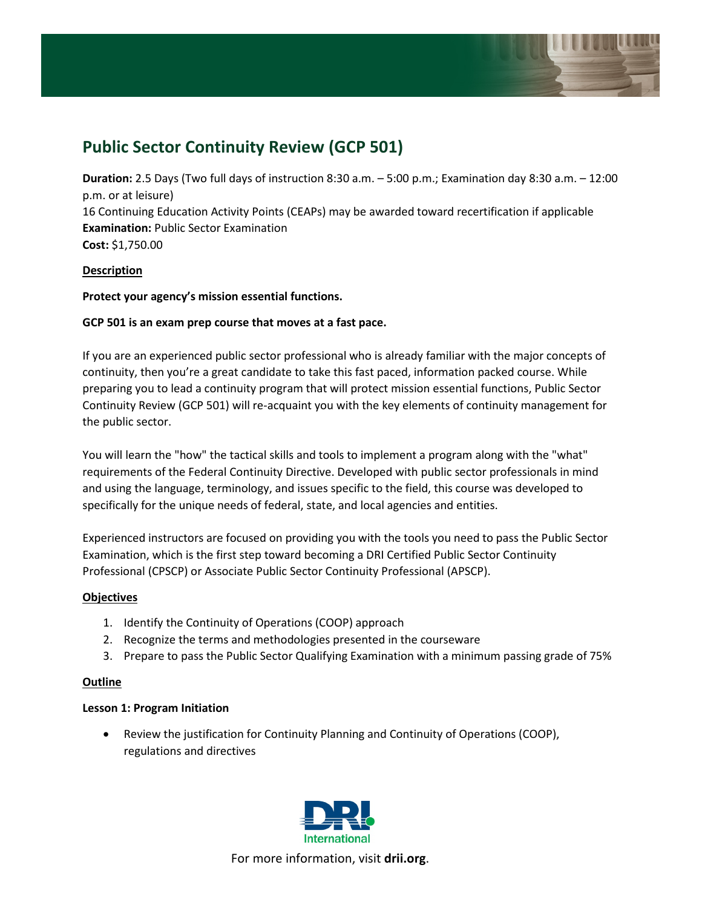

# **Public Sector Continuity Review (GCP 501)**

**Duration:** 2.5 Days (Two full days of instruction 8:30 a.m. – 5:00 p.m.; Examination day 8:30 a.m. – 12:00 p.m. or at leisure) 16 Continuing Education Activity Points (CEAPs) may be awarded toward recertification if applicable **Examination:** Public Sector Examination **Cost:** \$1,750.00

# **Description**

# **Protect your agency's mission essential functions.**

# **GCP 501 is an exam prep course that moves at a fast pace.**

If you are an experienced public sector professional who is already familiar with the major concepts of continuity, then you're a great candidate to take this fast paced, information packed course. While preparing you to lead a continuity program that will protect mission essential functions, Public Sector Continuity Review (GCP 501) will re-acquaint you with the key elements of continuity management for the public sector.

You will learn the "how" the tactical skills and tools to implement a program along with the "what" requirements of the Federal Continuity Directive. Developed with public sector professionals in mind and using the language, terminology, and issues specific to the field, this course was developed to specifically for the unique needs of federal, state, and local agencies and entities.

Experienced instructors are focused on providing you with the tools you need to pass the Public Sector Examination, which is the first step toward becoming a DRI Certified Public Sector Continuity Professional (CPSCP) or Associate Public Sector Continuity Professional (APSCP).

## **Objectives**

- 1. Identify the Continuity of Operations (COOP) approach
- 2. Recognize the terms and methodologies presented in the courseware
- 3. Prepare to pass the Public Sector Qualifying Examination with a minimum passing grade of 75%

#### **Outline**

## **Lesson 1: Program Initiation**

• Review the justification for Continuity Planning and Continuity of Operations (COOP), regulations and directives

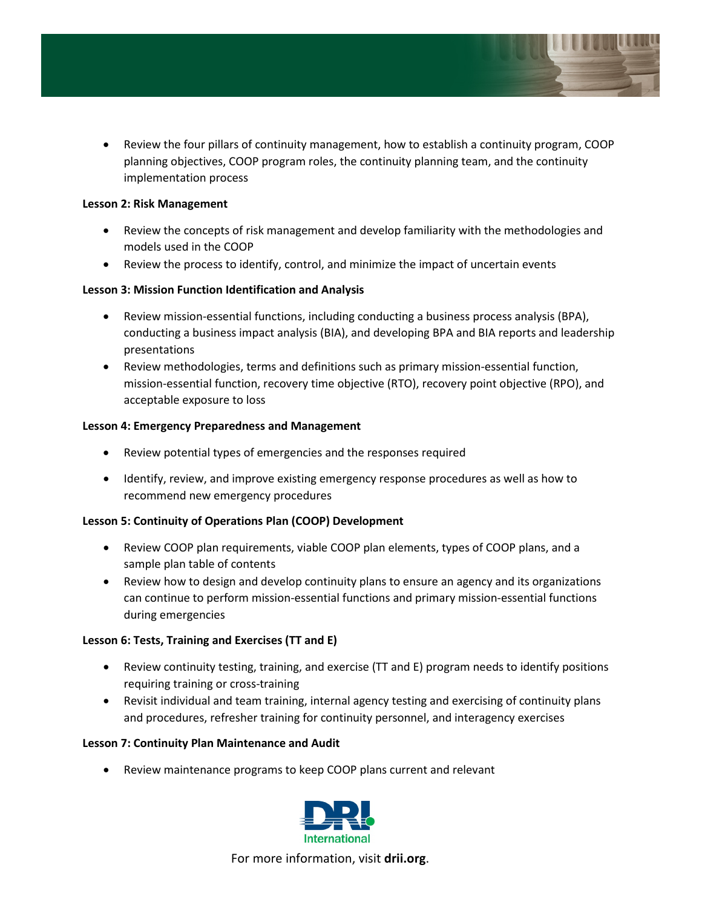

• Review the four pillars of continuity management, how to establish a continuity program, COOP planning objectives, COOP program roles, the continuity planning team, and the continuity implementation process

#### **Lesson 2: Risk Management**

- Review the concepts of risk management and develop familiarity with the methodologies and models used in the COOP
- Review the process to identify, control, and minimize the impact of uncertain events

# **Lesson 3: Mission Function Identification and Analysis**

- Review mission-essential functions, including conducting a business process analysis (BPA), conducting a business impact analysis (BIA), and developing BPA and BIA reports and leadership presentations
- Review methodologies, terms and definitions such as primary mission-essential function, mission-essential function, recovery time objective (RTO), recovery point objective (RPO), and acceptable exposure to loss

## **Lesson 4: Emergency Preparedness and Management**

- Review potential types of emergencies and the responses required
- Identify, review, and improve existing emergency response procedures as well as how to recommend new emergency procedures

## **Lesson 5: Continuity of Operations Plan (COOP) Development**

- Review COOP plan requirements, viable COOP plan elements, types of COOP plans, and a sample plan table of contents
- Review how to design and develop continuity plans to ensure an agency and its organizations can continue to perform mission-essential functions and primary mission-essential functions during emergencies

## **Lesson 6: Tests, Training and Exercises (TT and E)**

- Review continuity testing, training, and exercise (TT and E) program needs to identify positions requiring training or cross-training
- Revisit individual and team training, internal agency testing and exercising of continuity plans and procedures, refresher training for continuity personnel, and interagency exercises

## **Lesson 7: Continuity Plan Maintenance and Audit**

• Review maintenance programs to keep COOP plans current and relevant

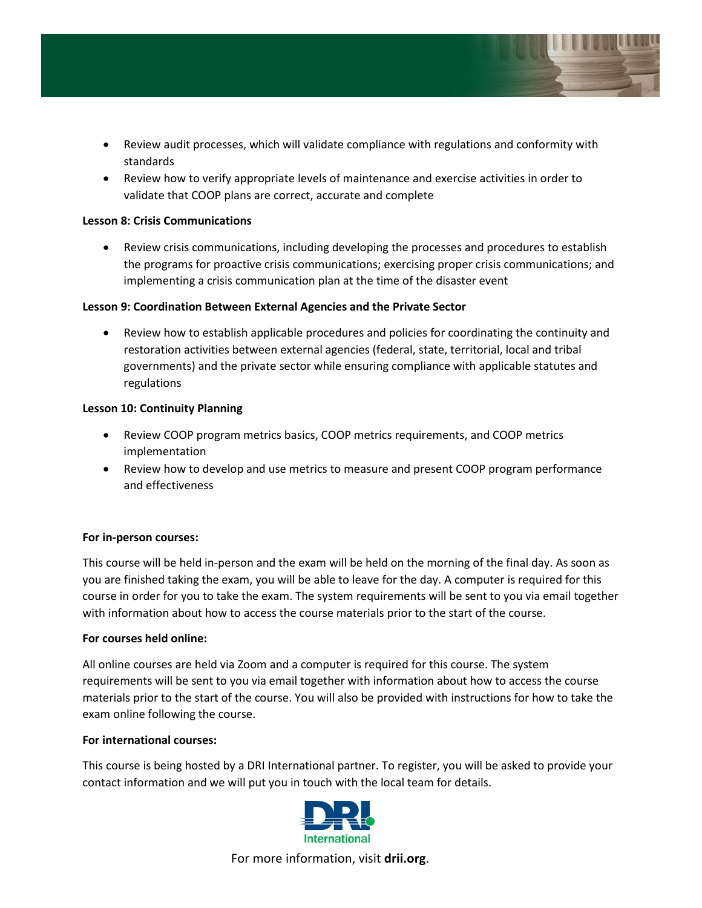

- Review audit processes, which will validate compliance with regulations and conformity with standards
- Review how to verify appropriate levels of maintenance and exercise activities in order to validate that COOP plans are correct, accurate and complete

## **Lesson 8: Crisis Communications**

• Review crisis communications, including developing the processes and procedures to establish the programs for proactive crisis communications; exercising proper crisis communications; and implementing a crisis communication plan at the time of the disaster event

## **Lesson 9: Coordination Between External Agencies and the Private Sector**

• Review how to establish applicable procedures and policies for coordinating the continuity and restoration activities between external agencies (federal, state, territorial, local and tribal governments) and the private sector while ensuring compliance with applicable statutes and regulations

## **Lesson 10: Continuity Planning**

- Review COOP program metrics basics, COOP metrics requirements, and COOP metrics implementation
- Review how to develop and use metrics to measure and present COOP program performance and effectiveness

## **For in-person courses:**

This course will be held in-person and the exam will be held on the morning of the final day. As soon as you are finished taking the exam, you will be able to leave for the day. A computer is required for this course in order for you to take the exam. The system requirements will be sent to you via email together with information about how to access the course materials prior to the start of the course.

## **For courses held online:**

All online courses are held via Zoom and a computer is required for this course. The system requirements will be sent to you via email together with information about how to access the course materials prior to the start of the course. You will also be provided with instructions for how to take the exam online following the course.

## **For international courses:**

This course is being hosted by a DRI International partner. To register, you will be asked to provide your contact information and we will put you in touch with the local team for details.